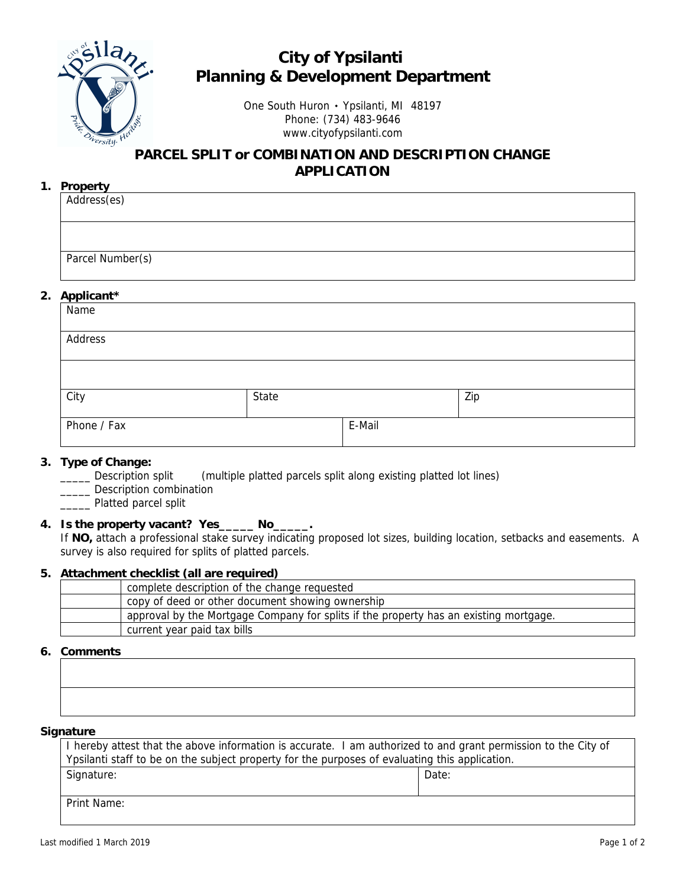

## **City of Ypsilanti Planning & Development Department**

One South Huron ۰ Ypsilanti, MI 48197 Phone: (734) 483-9646 www.cityofypsilanti.com

### **PARCEL SPLIT or COMBINATION AND DESCRIPTION CHANGE APPLICATION**

#### **1. Property**

| Address(es)      |  |  |
|------------------|--|--|
|                  |  |  |
|                  |  |  |
| Parcel Number(s) |  |  |

#### **2. Applicant\***

| $\mathbf{r}$<br>Name |       |        |     |  |
|----------------------|-------|--------|-----|--|
| Address              |       |        |     |  |
|                      |       |        |     |  |
| City                 | State |        | Zip |  |
| Phone / Fax          |       | E-Mail |     |  |

#### **3. Type of Change:**

\_\_\_\_\_ Description split (multiple platted parcels split along existing platted lot lines)

\_\_\_\_ Description combination

\_\_\_\_\_ Platted parcel split

#### **4. Is the property vacant? Yes\_\_\_\_\_ No\_\_\_\_\_.**

If **NO,** attach a professional stake survey indicating proposed lot sizes, building location, setbacks and easements. A survey is also required for splits of platted parcels.

#### **5. Attachment checklist (all are required)**

| complete description of the change requested                                          |
|---------------------------------------------------------------------------------------|
| copy of deed or other document showing ownership                                      |
| approval by the Mortgage Company for splits if the property has an existing mortgage. |
| current year paid tax bills                                                           |

#### **6. Comments**

#### **Signature**

| I hereby attest that the above information is accurate. I am authorized to and grant permission to the City of |       |  |
|----------------------------------------------------------------------------------------------------------------|-------|--|
| Ypsilanti staff to be on the subject property for the purposes of evaluating this application.                 |       |  |
| Signature:                                                                                                     | Date: |  |
|                                                                                                                |       |  |
| Print Name:                                                                                                    |       |  |